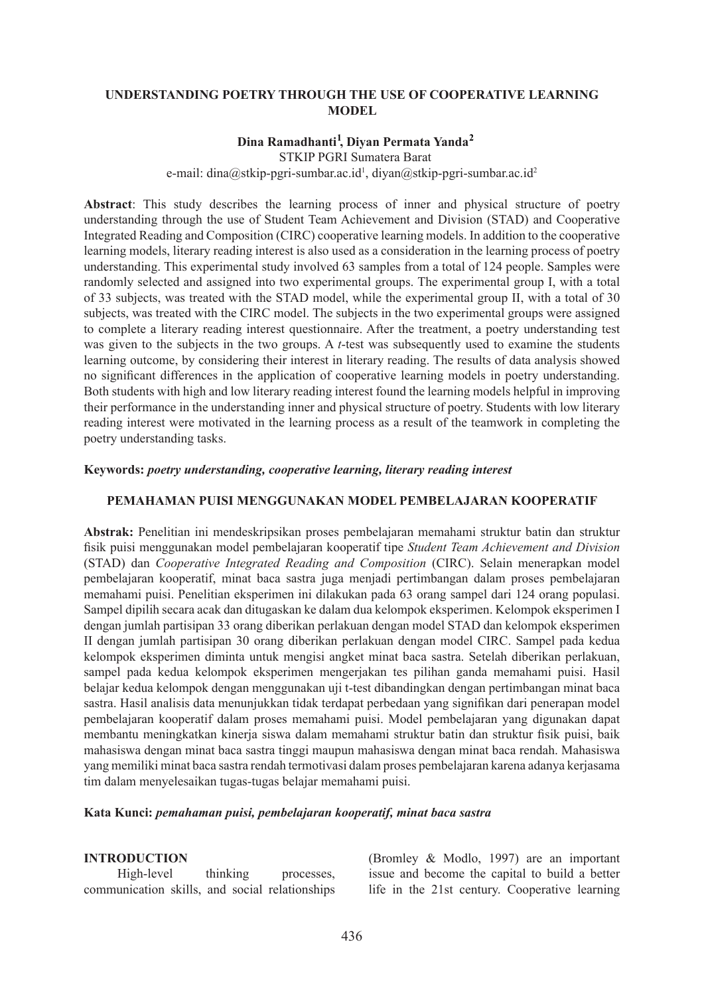## **UNDERSTANDING POETRY THROUGH THE USE OF COOPERATIVE LEARNING MODEL**

# **Dina Ramadhanti , Diyan Permata Yanda 1 2**

e-mail: dina@stkip-pgri-sumbar.ac.id<sup>1</sup>, diyan@stkip-pgri-sumbar.ac.id<sup>2</sup> STKIP PGRI Sumatera Barat

**Abstract**: This study describes the learning process of inner and physical structure of poetry understanding through the use of Student Team Achievement and Division (STAD) and Cooperative Integrated Reading and Composition (CIRC) cooperative learning models. In addition to the cooperative learning models, literary reading interest is also used as a consideration in the learning process of poetry understanding. This experimental study involved 63 samples from a total of 124 people. Samples were randomly selected and assigned into two experimental groups. The experimental group I, with a total of 33 subjects, was treated with the STAD model, while the experimental group II, with a total of 30 subjects, was treated with the CIRC model. The subjects in the two experimental groups were assigned to complete a literary reading interest questionnaire. After the treatment, a poetry understanding test was given to the subjects in the two groups. A *t*-test was subsequently used to examine the students learning outcome, by considering their interest in literary reading. The results of data analysis showed no significant differences in the application of cooperative learning models in poetry understanding. Both students with high and low literary reading interest found the learning models helpful in improving their performance in the understanding inner and physical structure of poetry. Students with low literary reading interest were motivated in the learning process as a result of the teamwork in completing the poetry understanding tasks.

#### **Keywords:** *poetry understanding, cooperative learning, literary reading interest*

# **PEMAHAMAN PUISI MENGGUNAKAN MODEL PEMBELAJARAN KOOPERATIF**

**Abstrak:** Penelitian ini mendeskripsikan proses pembelajaran memahami struktur batin dan struktur fisik puisi menggunakan model pembelajaran kooperatif tipe *Student Team Achievement and Division*  (STAD) dan *Cooperative Integrated Reading and Composition* (CIRC). Selain menerapkan model pembelajaran kooperatif, minat baca sastra juga menjadi pertimbangan dalam proses pembelajaran memahami puisi. Penelitian eksperimen ini dilakukan pada 63 orang sampel dari 124 orang populasi. Sampel dipilih secara acak dan ditugaskan ke dalam dua kelompok eksperimen. Kelompok eksperimen I dengan jumlah partisipan 33 orang diberikan perlakuan dengan model STAD dan kelompok eksperimen II dengan jumlah partisipan 30 orang diberikan perlakuan dengan model CIRC. Sampel pada kedua kelompok eksperimen diminta untuk mengisi angket minat baca sastra. Setelah diberikan perlakuan, sampel pada kedua kelompok eksperimen mengerjakan tes pilihan ganda memahami puisi. Hasil belajar kedua kelompok dengan menggunakan uji t-test dibandingkan dengan pertimbangan minat baca sastra. Hasil analisis data menunjukkan tidak terdapat perbedaan yang signifikan dari penerapan model pembelajaran kooperatif dalam proses memahami puisi. Model pembelajaran yang digunakan dapat membantu meningkatkan kinerja siswa dalam memahami struktur batin dan struktur fisik puisi, baik mahasiswa dengan minat baca sastra tinggi maupun mahasiswa dengan minat baca rendah. Mahasiswa yang memiliki minat baca sastra rendah termotivasi dalam proses pembelajaran karena adanya kerjasama tim dalam menyelesaikan tugas-tugas belajar memahami puisi.

#### **Kata Kunci:** *pemahaman puisi, pembelajaran kooperatif, minat baca sastra*

#### **INTRODUCTION**

High-level thinking processes, communication skills, and social relationships (Bromley & Modlo, 1997) are an important issue and become the capital to build a better life in the 21st century. Cooperative learning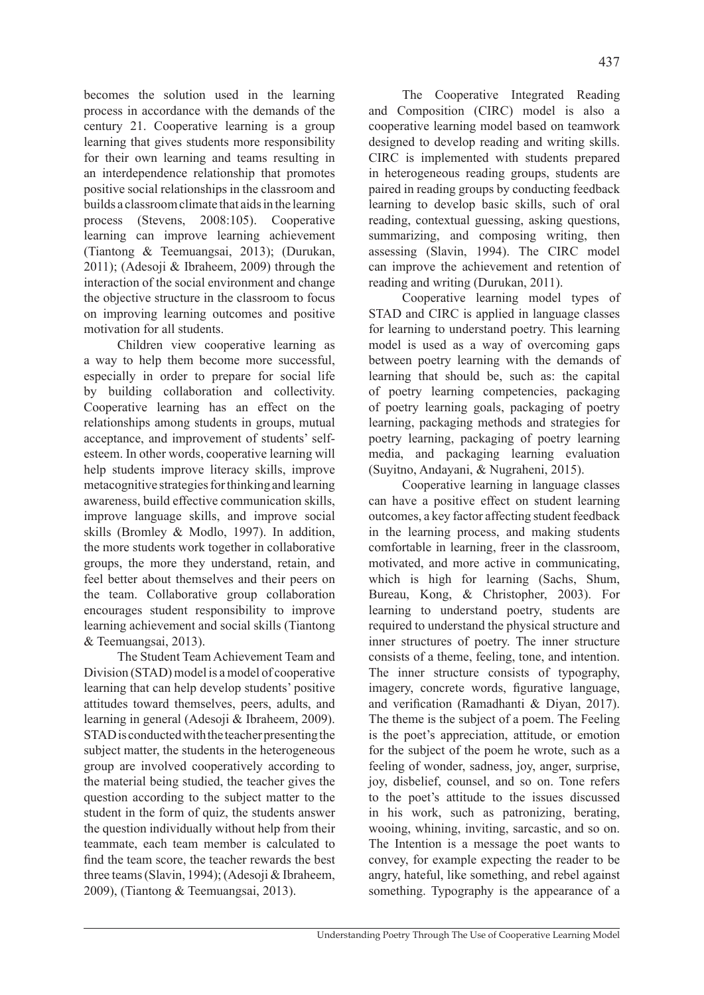becomes the solution used in the learning process in accordance with the demands of the century 21. Cooperative learning is a group learning that gives students more responsibility for their own learning and teams resulting in an interdependence relationship that promotes positive social relationships in the classroom and builds a classroom climate that aids in the learning process (Stevens, 2008:105). Cooperative learning can improve learning achievement (Tiantong & Teemuangsai, 2013); (Durukan, 2011); (Adesoji & Ibraheem, 2009) through the interaction of the social environment and change the objective structure in the classroom to focus on improving learning outcomes and positive motivation for all students.

Children view cooperative learning as a way to help them become more successful, especially in order to prepare for social life by building collaboration and collectivity. Cooperative learning has an effect on the relationships among students in groups, mutual acceptance, and improvement of students' selfesteem. In other words, cooperative learning will help students improve literacy skills, improve metacognitive strategies for thinking and learning awareness, build effective communication skills, improve language skills, and improve social skills (Bromley & Modlo, 1997). In addition, the more students work together in collaborative groups, the more they understand, retain, and feel better about themselves and their peers on the team. Collaborative group collaboration encourages student responsibility to improve learning achievement and social skills (Tiantong & Teemuangsai, 2013).

The Student Team Achievement Team and Division (STAD) model is a model of cooperative learning that can help develop students' positive attitudes toward themselves, peers, adults, and learning in general (Adesoji & Ibraheem, 2009). STAD is conducted with the teacher presenting the subject matter, the students in the heterogeneous group are involved cooperatively according to the material being studied, the teacher gives the question according to the subject matter to the student in the form of quiz, the students answer the question individually without help from their teammate, each team member is calculated to find the team score, the teacher rewards the best three teams (Slavin, 1994); (Adesoji & Ibraheem, 2009), (Tiantong & Teemuangsai, 2013).

The Cooperative Integrated Reading and Composition (CIRC) model is also a cooperative learning model based on teamwork designed to develop reading and writing skills. CIRC is implemented with students prepared in heterogeneous reading groups, students are paired in reading groups by conducting feedback learning to develop basic skills, such of oral reading, contextual guessing, asking questions, summarizing, and composing writing, then assessing (Slavin, 1994). The CIRC model can improve the achievement and retention of reading and writing (Durukan, 2011).

Cooperative learning model types of STAD and CIRC is applied in language classes for learning to understand poetry. This learning model is used as a way of overcoming gaps between poetry learning with the demands of learning that should be, such as: the capital of poetry learning competencies, packaging of poetry learning goals, packaging of poetry learning, packaging methods and strategies for poetry learning, packaging of poetry learning media, and packaging learning evaluation (Suyitno, Andayani, & Nugraheni, 2015).

Cooperative learning in language classes can have a positive effect on student learning outcomes, a key factor affecting student feedback in the learning process, and making students comfortable in learning, freer in the classroom, motivated, and more active in communicating, which is high for learning (Sachs, Shum, Bureau, Kong, & Christopher, 2003). For learning to understand poetry, students are required to understand the physical structure and inner structures of poetry. The inner structure consists of a theme, feeling, tone, and intention. The inner structure consists of typography, imagery, concrete words, figurative language, and verification (Ramadhanti & Diyan, 2017). The theme is the subject of a poem. The Feeling is the poet's appreciation, attitude, or emotion for the subject of the poem he wrote, such as a feeling of wonder, sadness, joy, anger, surprise, joy, disbelief, counsel, and so on. Tone refers to the poet's attitude to the issues discussed in his work, such as patronizing, berating, wooing, whining, inviting, sarcastic, and so on. The Intention is a message the poet wants to convey, for example expecting the reader to be angry, hateful, like something, and rebel against something. Typography is the appearance of a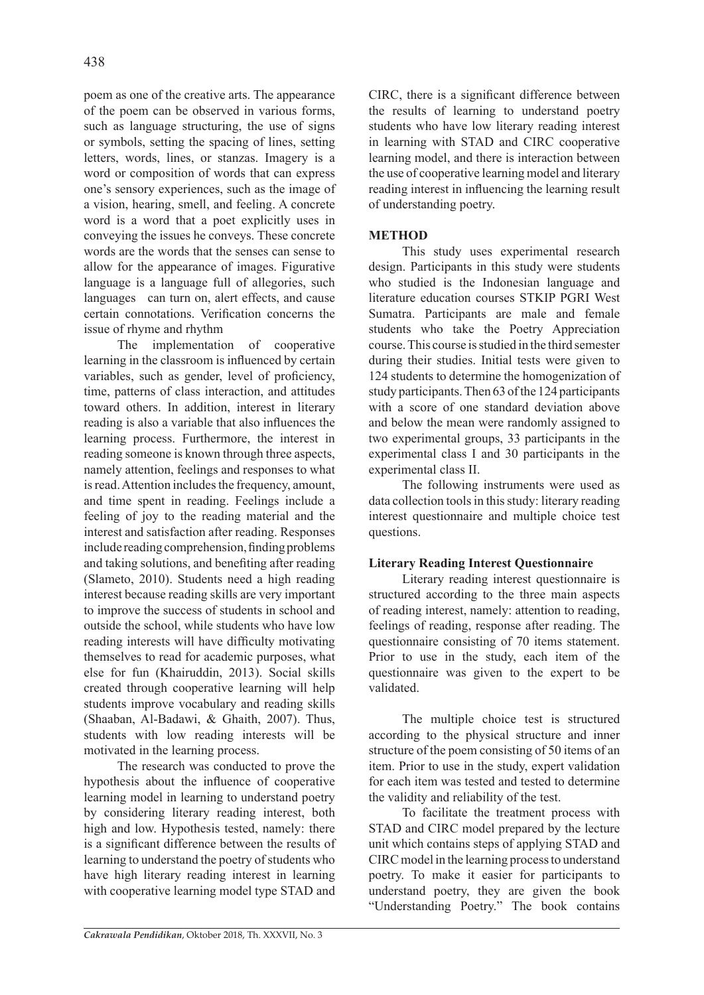poem as one of the creative arts. The appearance of the poem can be observed in various forms, such as language structuring, the use of signs or symbols, setting the spacing of lines, setting letters, words, lines, or stanzas. Imagery is a word or composition of words that can express one's sensory experiences, such as the image of a vision, hearing, smell, and feeling. A concrete word is a word that a poet explicitly uses in conveying the issues he conveys. These concrete words are the words that the senses can sense to allow for the appearance of images. Figurative language is a language full of allegories, such languages can turn on, alert effects, and cause certain connotations. Verification concerns the issue of rhyme and rhythm

The implementation of cooperative learning in the classroom is influenced by certain variables, such as gender, level of proficiency, time, patterns of class interaction, and attitudes toward others. In addition, interest in literary reading is also a variable that also influences the learning process. Furthermore, the interest in reading someone is known through three aspects, namely attention, feelings and responses to what is read. Attention includes the frequency, amount, and time spent in reading. Feelings include a feeling of joy to the reading material and the interest and satisfaction after reading. Responses include reading comprehension, finding problems and taking solutions, and benefiting after reading (Slameto, 2010). Students need a high reading interest because reading skills are very important to improve the success of students in school and outside the school, while students who have low reading interests will have difficulty motivating themselves to read for academic purposes, what else for fun (Khairuddin, 2013). Social skills created through cooperative learning will help students improve vocabulary and reading skills (Shaaban, Al-Badawi, & Ghaith, 2007). Thus, students with low reading interests will be motivated in the learning process.

The research was conducted to prove the hypothesis about the influence of cooperative learning model in learning to understand poetry by considering literary reading interest, both high and low. Hypothesis tested, namely: there is a significant difference between the results of learning to understand the poetry of students who have high literary reading interest in learning with cooperative learning model type STAD and CIRC, there is a significant difference between the results of learning to understand poetry students who have low literary reading interest in learning with STAD and CIRC cooperative learning model, and there is interaction between the use of cooperative learning model and literary reading interest in influencing the learning result of understanding poetry.

# **METHOD**

This study uses experimental research design. Participants in this study were students who studied is the Indonesian language and literature education courses STKIP PGRI West Sumatra. Participants are male and female students who take the Poetry Appreciation course. This course is studied in the third semester during their studies. Initial tests were given to 124 students to determine the homogenization of study participants. Then 63 of the 124 participants with a score of one standard deviation above and below the mean were randomly assigned to two experimental groups, 33 participants in the experimental class I and 30 participants in the experimental class II.

The following instruments were used as data collection tools in this study: literary reading interest questionnaire and multiple choice test questions.

# **Literary Reading Interest Questionnaire**

Literary reading interest questionnaire is structured according to the three main aspects of reading interest, namely: attention to reading, feelings of reading, response after reading. The questionnaire consisting of 70 items statement. Prior to use in the study, each item of the questionnaire was given to the expert to be validated.

The multiple choice test is structured according to the physical structure and inner structure of the poem consisting of 50 items of an item. Prior to use in the study, expert validation for each item was tested and tested to determine the validity and reliability of the test.

To facilitate the treatment process with STAD and CIRC model prepared by the lecture unit which contains steps of applying STAD and CIRC model in the learning process to understand poetry. To make it easier for participants to understand poetry, they are given the book "Understanding Poetry." The book contains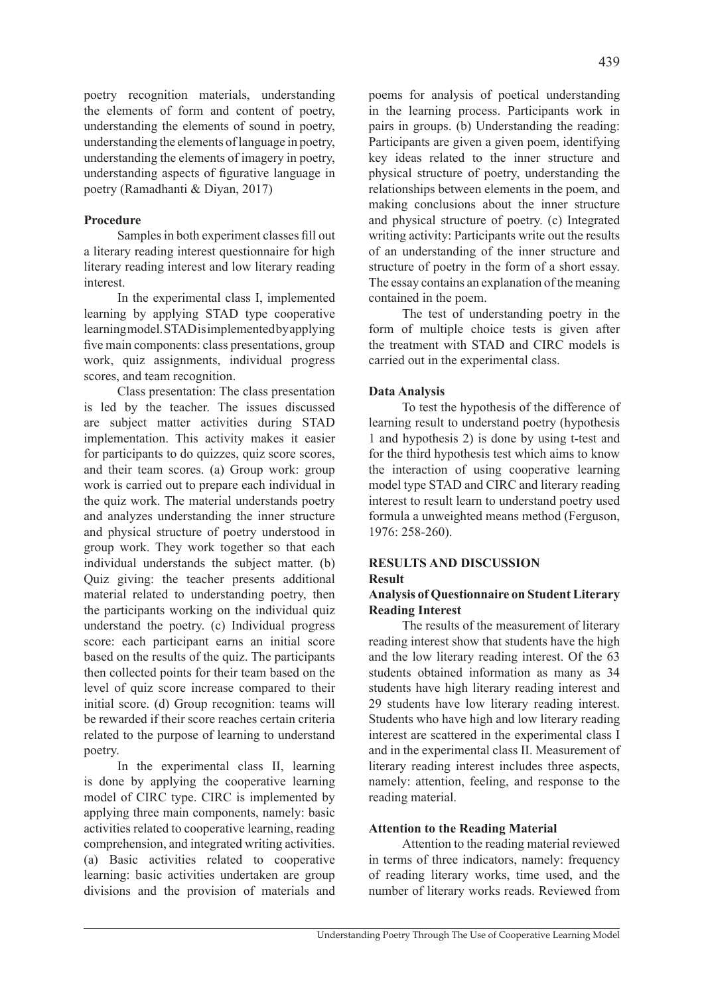poetry recognition materials, understanding the elements of form and content of poetry, understanding the elements of sound in poetry, understanding the elements of language in poetry, understanding the elements of imagery in poetry, understanding aspects of figurative language in poetry (Ramadhanti & Diyan, 2017)

# **Procedure**

Samples in both experiment classes fill out a literary reading interest questionnaire for high literary reading interest and low literary reading interest.

In the experimental class I, implemented learning by applying STAD type cooperative learning model. STAD is implemented by applying five main components: class presentations, group work, quiz assignments, individual progress scores, and team recognition.

Class presentation: The class presentation is led by the teacher. The issues discussed are subject matter activities during STAD implementation. This activity makes it easier for participants to do quizzes, quiz score scores, and their team scores. (a) Group work: group work is carried out to prepare each individual in the quiz work. The material understands poetry and analyzes understanding the inner structure and physical structure of poetry understood in group work. They work together so that each individual understands the subject matter. (b) Quiz giving: the teacher presents additional material related to understanding poetry, then the participants working on the individual quiz understand the poetry. (c) Individual progress score: each participant earns an initial score based on the results of the quiz. The participants then collected points for their team based on the level of quiz score increase compared to their initial score. (d) Group recognition: teams will be rewarded if their score reaches certain criteria related to the purpose of learning to understand poetry.

In the experimental class II, learning is done by applying the cooperative learning model of CIRC type. CIRC is implemented by applying three main components, namely: basic activities related to cooperative learning, reading comprehension, and integrated writing activities. (a) Basic activities related to cooperative learning: basic activities undertaken are group divisions and the provision of materials and poems for analysis of poetical understanding in the learning process. Participants work in pairs in groups. (b) Understanding the reading: Participants are given a given poem, identifying key ideas related to the inner structure and physical structure of poetry, understanding the relationships between elements in the poem, and making conclusions about the inner structure and physical structure of poetry. (c) Integrated writing activity: Participants write out the results of an understanding of the inner structure and structure of poetry in the form of a short essay. The essay contains an explanation of the meaning contained in the poem.

The test of understanding poetry in the form of multiple choice tests is given after the treatment with STAD and CIRC models is carried out in the experimental class.

# **Data Analysis**

To test the hypothesis of the difference of learning result to understand poetry (hypothesis 1 and hypothesis 2) is done by using t-test and for the third hypothesis test which aims to know the interaction of using cooperative learning model type STAD and CIRC and literary reading interest to result learn to understand poetry used formula a unweighted means method (Ferguson, 1976: 258-260).

# **RESULTS AND DISCUSSION**

# **Result**

# **Analysis of Questionnaire on Student Literary Reading Interest**

The results of the measurement of literary reading interest show that students have the high and the low literary reading interest. Of the 63 students obtained information as many as 34 students have high literary reading interest and 29 students have low literary reading interest. Students who have high and low literary reading interest are scattered in the experimental class I and in the experimental class II. Measurement of literary reading interest includes three aspects, namely: attention, feeling, and response to the reading material.

# **Attention to the Reading Material**

Attention to the reading material reviewed in terms of three indicators, namely: frequency of reading literary works, time used, and the number of literary works reads. Reviewed from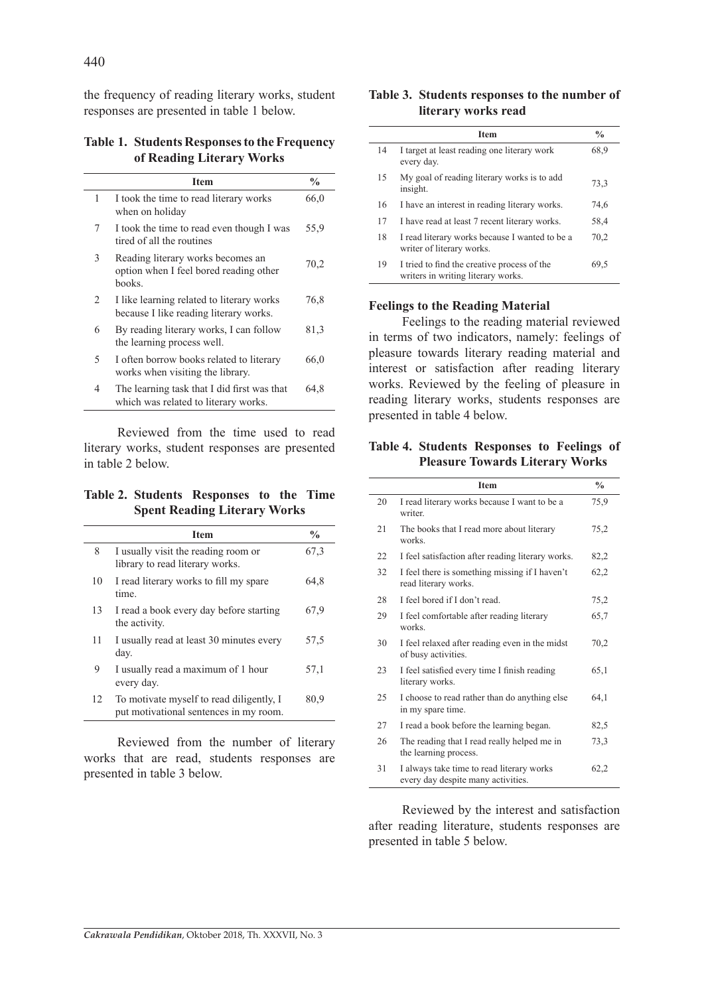the frequency of reading literary works, student responses are presented in table 1 below.

**Table 1. Students Responses to the Frequency of Reading Literary Works**

|                               | <b>Item</b>                                                                           | $\frac{0}{0}$ |
|-------------------------------|---------------------------------------------------------------------------------------|---------------|
| 1                             | I took the time to read literary works<br>when on holiday                             | 66,0          |
| 7                             | I took the time to read even though I was<br>tired of all the routines                | 55,9          |
| 3                             | Reading literary works becomes an<br>option when I feel bored reading other<br>books. | 70,2          |
| $\mathfrak{D}_{\mathfrak{p}}$ | I like learning related to literary works<br>because I like reading literary works.   | 76,8          |
| 6                             | By reading literary works, I can follow<br>the learning process well.                 | 81,3          |
| 5                             | I often borrow books related to literary<br>works when visiting the library.          | 66,0          |
| 4                             | The learning task that I did first was that<br>which was related to literary works.   | 64,8          |

Reviewed from the time used to read literary works, student responses are presented in table 2 below.

**Table 2. Students Responses to the Time Spent Reading Literary Works**

| <b>Item</b>                                                                        | $\frac{0}{0}$ |
|------------------------------------------------------------------------------------|---------------|
| I usually visit the reading room or<br>library to read literary works.             | 67.3          |
| I read literary works to fill my spare<br>time.                                    | 64,8          |
| I read a book every day before starting<br>the activity.                           | 67.9          |
| I usually read at least 30 minutes every<br>day.                                   | 57,5          |
| I usually read a maximum of 1 hour<br>every day.                                   | 57,1          |
| To motivate myself to read diligently, I<br>put motivational sentences in my room. | 80,9          |
|                                                                                    |               |

Reviewed from the number of literary works that are read, students responses are presented in table 3 below.

#### **Table 3. Students responses to the number of literary works read**

|    | <b>Item</b>                                                                       | $\frac{0}{0}$ |
|----|-----------------------------------------------------------------------------------|---------------|
| 14 | I target at least reading one literary work<br>every day.                         | 68,9          |
| 15 | My goal of reading literary works is to add<br>insight.                           | 73,3          |
| 16 | I have an interest in reading literary works.                                     | 74,6          |
| 17 | I have read at least 7 recent literary works.                                     | 58,4          |
| 18 | I read literary works because I wanted to be a<br>writer of literary works.       | 70,2          |
| 19 | I tried to find the creative process of the<br>writers in writing literary works. | 69,5          |

#### **Feelings to the Reading Material**

Feelings to the reading material reviewed in terms of two indicators, namely: feelings of pleasure towards literary reading material and interest or satisfaction after reading literary works. Reviewed by the feeling of pleasure in reading literary works, students responses are presented in table 4 below.

#### **Table 4. Students Responses to Feelings of Pleasure Towards Literary Works**

|    | <b>Item</b>                                                                     | $\frac{0}{n}$ |
|----|---------------------------------------------------------------------------------|---------------|
| 20 | I read literary works because I want to be a<br>writer.                         | 75,9          |
| 21 | The books that I read more about literary<br>works.                             | 75,2          |
| 22 | I feel satisfaction after reading literary works.                               | 82,2          |
| 32 | I feel there is something missing if I haven't<br>read literary works.          | 62,2          |
| 28 | I feel bored if I don't read                                                    | 75,2          |
| 29 | I feel comfortable after reading literary<br>works.                             | 65,7          |
| 30 | I feel relaxed after reading even in the midst<br>of busy activities.           | 70,2          |
| 23 | I feel satisfied every time I finish reading<br>literary works.                 | 65,1          |
| 25 | I choose to read rather than do anything else<br>in my spare time.              | 64,1          |
| 27 | I read a book before the learning began.                                        | 82,5          |
| 26 | The reading that I read really helped me in<br>the learning process.            | 73,3          |
| 31 | I always take time to read literary works<br>every day despite many activities. | 62,2          |

Reviewed by the interest and satisfaction after reading literature, students responses are presented in table 5 below.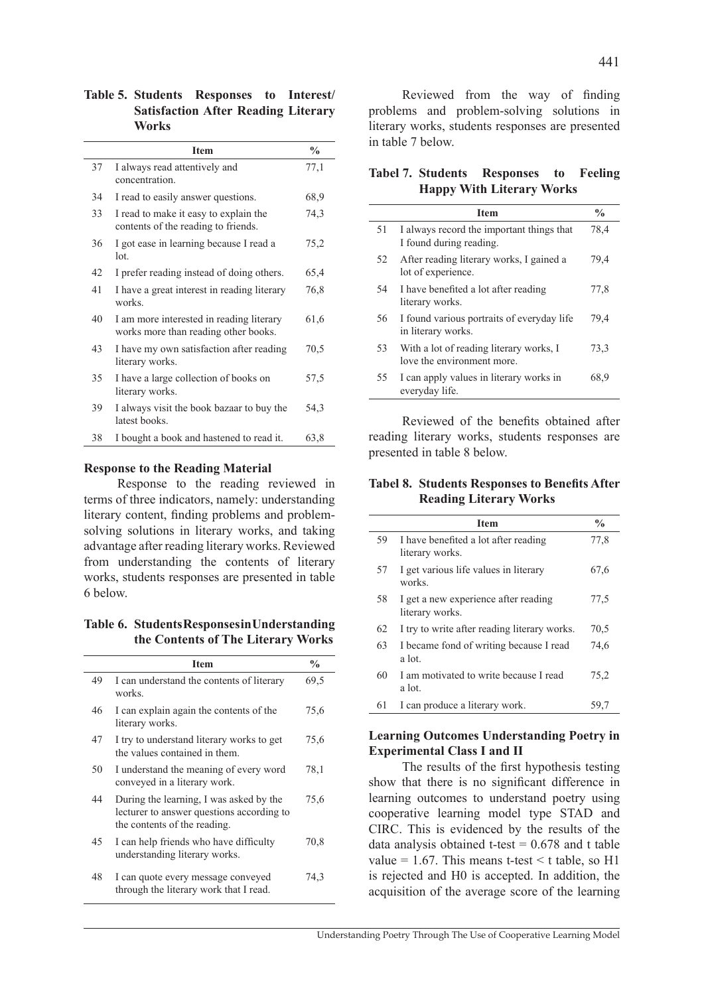**Table 5. Students Responses to Interest/ Satisfaction After Reading Literary Works**

|    | <b>Item</b>                                                                      | $\frac{0}{0}$ |
|----|----------------------------------------------------------------------------------|---------------|
| 37 | I always read attentively and<br>concentration.                                  | 77,1          |
| 34 | I read to easily answer questions.                                               | 68,9          |
| 33 | I read to make it easy to explain the<br>contents of the reading to friends.     | 74,3          |
| 36 | I got ease in learning because I read a<br>1 <sub>ot</sub>                       | 75,2          |
| 42 | I prefer reading instead of doing others.                                        | 65,4          |
| 41 | I have a great interest in reading literary<br>works                             | 76,8          |
| 40 | I am more interested in reading literary<br>works more than reading other books. | 61,6          |
| 43 | I have my own satisfaction after reading<br>literary works.                      | 70,5          |
| 35 | I have a large collection of books on<br>literary works.                         | 57,5          |
| 39 | I always visit the book bazaar to buy the<br>latest books.                       | 54,3          |
| 38 | I bought a book and hastened to read it.                                         | 63,8          |

#### **Response to the Reading Material**

Response to the reading reviewed in terms of three indicators, namely: understanding literary content, finding problems and problemsolving solutions in literary works, and taking advantage after reading literary works. Reviewed from understanding the contents of literary works, students responses are presented in table 6 below.

**Table 6. Students Responses in Understanding the Contents of The Literary Works**

|    | <b>Item</b>                                                                                                          | $\frac{0}{0}$ |
|----|----------------------------------------------------------------------------------------------------------------------|---------------|
| 49 | I can understand the contents of literary<br>works.                                                                  | 69.5          |
| 46 | I can explain again the contents of the<br>literary works.                                                           | 75,6          |
| 47 | I try to understand literary works to get<br>the values contained in them.                                           | 75,6          |
| 50 | I understand the meaning of every word<br>conveyed in a literary work.                                               | 78,1          |
| 44 | During the learning, I was asked by the<br>lecturer to answer questions according to<br>the contents of the reading. | 75,6          |
| 45 | I can help friends who have difficulty<br>understanding literary works.                                              | 70,8          |
| 48 | I can quote every message conveyed<br>through the literary work that I read.                                         | 74,3          |

Reviewed from the way of finding problems and problem-solving solutions in literary works, students responses are presented in table 7 below.

**Tabel 7. Students Responses to Feeling Happy With Literary Works**

|    | <b>Item</b>                                                           | $\frac{0}{0}$ |
|----|-----------------------------------------------------------------------|---------------|
| 51 | I always record the important things that<br>I found during reading.  | 78,4          |
| 52 | After reading literary works, I gained a<br>lot of experience.        | 79,4          |
| 54 | I have benefited a lot after reading<br>literary works.               | 77,8          |
| 56 | I found various portraits of everyday life<br>in literary works.      | 79,4          |
| 53 | With a lot of reading literary works, I<br>love the environment more. | 73,3          |
| 55 | I can apply values in literary works in<br>everyday life.             | 68.9          |

Reviewed of the benefits obtained after reading literary works, students responses are presented in table 8 below.

**Tabel 8. Students Responses to Benefits After Reading Literary Works**

|    | <b>Item</b>                                             | $\frac{0}{0}$ |
|----|---------------------------------------------------------|---------------|
| 59 | I have benefited a lot after reading<br>literary works. | 77,8          |
| 57 | I get various life values in literary<br>works.         | 67,6          |
| 58 | I get a new experience after reading<br>literary works. | 77,5          |
| 62 | I try to write after reading literary works.            | 70,5          |
| 63 | I became fond of writing because I read<br>a lot.       | 74,6          |
| 60 | I am motivated to write because I read<br>a lot.        | 75,2          |
| 61 | I can produce a literary work.                          | 59. I         |

#### **Learning Outcomes Understanding Poetry in Experimental Class I and II**

The results of the first hypothesis testing show that there is no significant difference in learning outcomes to understand poetry using cooperative learning model type STAD and CIRC. This is evidenced by the results of the data analysis obtained t-test  $= 0.678$  and t table value = 1.67. This means t-test  $\leq t$  table, so H1 is rejected and H0 is accepted. In addition, the acquisition of the average score of the learning

441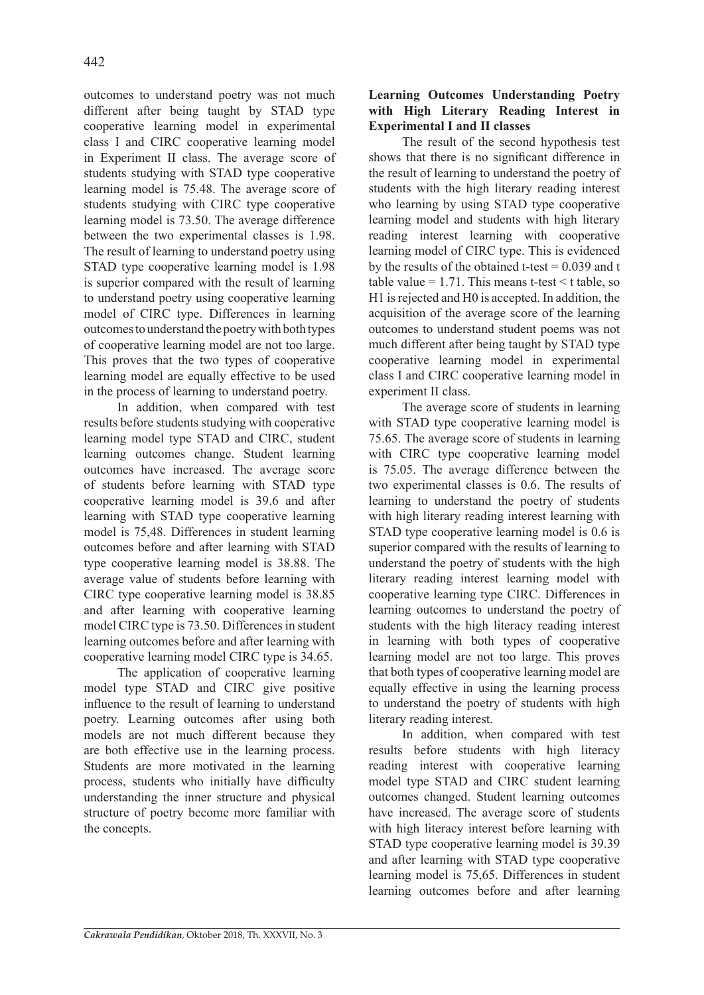outcomes to understand poetry was not much different after being taught by STAD type cooperative learning model in experimental class I and CIRC cooperative learning model in Experiment II class. The average score of students studying with STAD type cooperative learning model is 75.48. The average score of students studying with CIRC type cooperative learning model is 73.50. The average difference between the two experimental classes is 1.98. The result of learning to understand poetry using STAD type cooperative learning model is 1.98 is superior compared with the result of learning to understand poetry using cooperative learning model of CIRC type. Differences in learning outcomes to understand the poetry with both types of cooperative learning model are not too large. This proves that the two types of cooperative learning model are equally effective to be used in the process of learning to understand poetry.

In addition, when compared with test results before students studying with cooperative learning model type STAD and CIRC, student learning outcomes change. Student learning outcomes have increased. The average score of students before learning with STAD type cooperative learning model is 39.6 and after learning with STAD type cooperative learning model is 75,48. Differences in student learning outcomes before and after learning with STAD type cooperative learning model is 38.88. The average value of students before learning with CIRC type cooperative learning model is 38.85 and after learning with cooperative learning model CIRC type is 73.50. Differences in student learning outcomes before and after learning with cooperative learning model CIRC type is 34.65.

The application of cooperative learning model type STAD and CIRC give positive influence to the result of learning to understand poetry. Learning outcomes after using both models are not much different because they are both effective use in the learning process. Students are more motivated in the learning process, students who initially have difficulty understanding the inner structure and physical structure of poetry become more familiar with the concepts.

# **Learning Outcomes Understanding Poetry with High Literary Reading Interest in Experimental I and II classes**

The result of the second hypothesis test shows that there is no significant difference in the result of learning to understand the poetry of students with the high literary reading interest who learning by using STAD type cooperative learning model and students with high literary reading interest learning with cooperative learning model of CIRC type. This is evidenced by the results of the obtained t-test  $= 0.039$  and t table value = 1.71. This means t-test  $\leq t$  table, so H1 is rejected and H0 is accepted. In addition, the acquisition of the average score of the learning outcomes to understand student poems was not much different after being taught by STAD type cooperative learning model in experimental class I and CIRC cooperative learning model in experiment II class.

The average score of students in learning with STAD type cooperative learning model is 75.65. The average score of students in learning with CIRC type cooperative learning model is 75.05. The average difference between the two experimental classes is 0.6. The results of learning to understand the poetry of students with high literary reading interest learning with STAD type cooperative learning model is 0.6 is superior compared with the results of learning to understand the poetry of students with the high literary reading interest learning model with cooperative learning type CIRC. Differences in learning outcomes to understand the poetry of students with the high literacy reading interest in learning with both types of cooperative learning model are not too large. This proves that both types of cooperative learning model are equally effective in using the learning process to understand the poetry of students with high literary reading interest.

In addition, when compared with test results before students with high literacy reading interest with cooperative learning model type STAD and CIRC student learning outcomes changed. Student learning outcomes have increased. The average score of students with high literacy interest before learning with STAD type cooperative learning model is 39.39 and after learning with STAD type cooperative learning model is 75,65. Differences in student learning outcomes before and after learning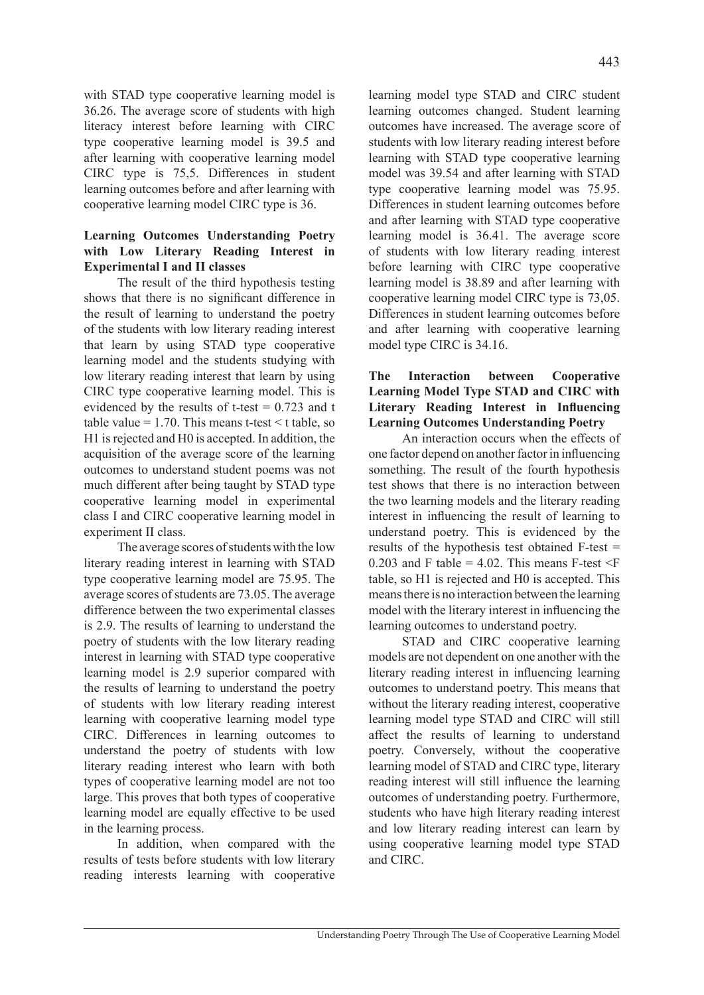with STAD type cooperative learning model is 36.26. The average score of students with high literacy interest before learning with CIRC type cooperative learning model is 39.5 and after learning with cooperative learning model CIRC type is 75,5. Differences in student learning outcomes before and after learning with cooperative learning model CIRC type is 36.

# **Learning Outcomes Understanding Poetry with Low Literary Reading Interest in Experimental I and II classes**

The result of the third hypothesis testing shows that there is no significant difference in the result of learning to understand the poetry of the students with low literary reading interest that learn by using STAD type cooperative learning model and the students studying with low literary reading interest that learn by using CIRC type cooperative learning model. This is evidenced by the results of t-test  $= 0.723$  and t table value  $= 1.70$ . This means t-test  $\leq t$  table, so H1 is rejected and H0 is accepted. In addition, the acquisition of the average score of the learning outcomes to understand student poems was not much different after being taught by STAD type cooperative learning model in experimental class I and CIRC cooperative learning model in experiment II class.

The average scores of students with the low literary reading interest in learning with STAD type cooperative learning model are 75.95. The average scores of students are 73.05. The average difference between the two experimental classes is 2.9. The results of learning to understand the poetry of students with the low literary reading interest in learning with STAD type cooperative learning model is 2.9 superior compared with the results of learning to understand the poetry of students with low literary reading interest learning with cooperative learning model type CIRC. Differences in learning outcomes to understand the poetry of students with low literary reading interest who learn with both types of cooperative learning model are not too large. This proves that both types of cooperative learning model are equally effective to be used in the learning process.

In addition, when compared with the results of tests before students with low literary reading interests learning with cooperative learning model type STAD and CIRC student learning outcomes changed. Student learning outcomes have increased. The average score of students with low literary reading interest before learning with STAD type cooperative learning model was 39.54 and after learning with STAD type cooperative learning model was 75.95. Differences in student learning outcomes before and after learning with STAD type cooperative learning model is 36.41. The average score of students with low literary reading interest before learning with CIRC type cooperative learning model is 38.89 and after learning with cooperative learning model CIRC type is 73,05. Differences in student learning outcomes before and after learning with cooperative learning model type CIRC is 34.16.

## **The Interaction between Cooperative Learning Model Type STAD and CIRC with Literary Reading Interest in Influencing Learning Outcomes Understanding Poetry**

An interaction occurs when the effects of one factor depend on another factor in influencing something. The result of the fourth hypothesis test shows that there is no interaction between the two learning models and the literary reading interest in influencing the result of learning to understand poetry. This is evidenced by the results of the hypothesis test obtained F-test = 0.203 and F table = 4.02. This means F-test  $\leq$ F table, so H1 is rejected and H0 is accepted. This means there is no interaction between the learning model with the literary interest in influencing the learning outcomes to understand poetry.

STAD and CIRC cooperative learning models are not dependent on one another with the literary reading interest in influencing learning outcomes to understand poetry. This means that without the literary reading interest, cooperative learning model type STAD and CIRC will still affect the results of learning to understand poetry. Conversely, without the cooperative learning model of STAD and CIRC type, literary reading interest will still influence the learning outcomes of understanding poetry. Furthermore, students who have high literary reading interest and low literary reading interest can learn by using cooperative learning model type STAD and CIRC.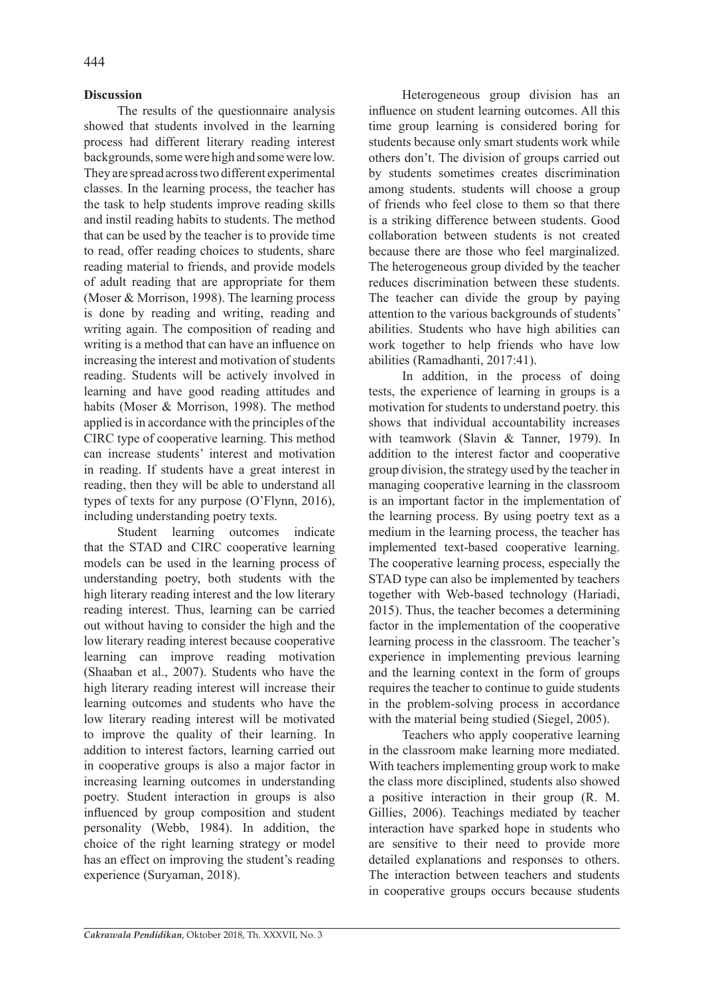# **Discussion**

The results of the questionnaire analysis showed that students involved in the learning process had different literary reading interest backgrounds, some were high and some were low. They are spread across two different experimental classes. In the learning process, the teacher has the task to help students improve reading skills and instil reading habits to students. The method that can be used by the teacher is to provide time to read, offer reading choices to students, share reading material to friends, and provide models of adult reading that are appropriate for them (Moser & Morrison, 1998). The learning process is done by reading and writing, reading and writing again. The composition of reading and writing is a method that can have an influence on increasing the interest and motivation of students reading. Students will be actively involved in learning and have good reading attitudes and habits (Moser & Morrison, 1998). The method applied is in accordance with the principles of the CIRC type of cooperative learning. This method can increase students' interest and motivation in reading. If students have a great interest in reading, then they will be able to understand all types of texts for any purpose (O'Flynn, 2016), including understanding poetry texts.

Student learning outcomes indicate that the STAD and CIRC cooperative learning models can be used in the learning process of understanding poetry, both students with the high literary reading interest and the low literary reading interest. Thus, learning can be carried out without having to consider the high and the low literary reading interest because cooperative learning can improve reading motivation (Shaaban et al., 2007). Students who have the high literary reading interest will increase their learning outcomes and students who have the low literary reading interest will be motivated to improve the quality of their learning. In addition to interest factors, learning carried out in cooperative groups is also a major factor in increasing learning outcomes in understanding poetry. Student interaction in groups is also influenced by group composition and student personality (Webb, 1984). In addition, the choice of the right learning strategy or model has an effect on improving the student's reading experience (Suryaman, 2018).

Heterogeneous group division has an influence on student learning outcomes. All this time group learning is considered boring for students because only smart students work while others don't. The division of groups carried out by students sometimes creates discrimination among students. students will choose a group of friends who feel close to them so that there is a striking difference between students. Good collaboration between students is not created because there are those who feel marginalized. The heterogeneous group divided by the teacher reduces discrimination between these students. The teacher can divide the group by paying attention to the various backgrounds of students' abilities. Students who have high abilities can work together to help friends who have low abilities (Ramadhanti, 2017:41).

In addition, in the process of doing tests, the experience of learning in groups is a motivation for students to understand poetry. this shows that individual accountability increases with teamwork (Slavin & Tanner, 1979). In addition to the interest factor and cooperative group division, the strategy used by the teacher in managing cooperative learning in the classroom is an important factor in the implementation of the learning process. By using poetry text as a medium in the learning process, the teacher has implemented text-based cooperative learning. The cooperative learning process, especially the STAD type can also be implemented by teachers together with Web-based technology (Hariadi, 2015). Thus, the teacher becomes a determining factor in the implementation of the cooperative learning process in the classroom. The teacher's experience in implementing previous learning and the learning context in the form of groups requires the teacher to continue to guide students in the problem-solving process in accordance with the material being studied (Siegel, 2005).

Teachers who apply cooperative learning in the classroom make learning more mediated. With teachers implementing group work to make the class more disciplined, students also showed a positive interaction in their group (R. M. Gillies, 2006). Teachings mediated by teacher interaction have sparked hope in students who are sensitive to their need to provide more detailed explanations and responses to others. The interaction between teachers and students in cooperative groups occurs because students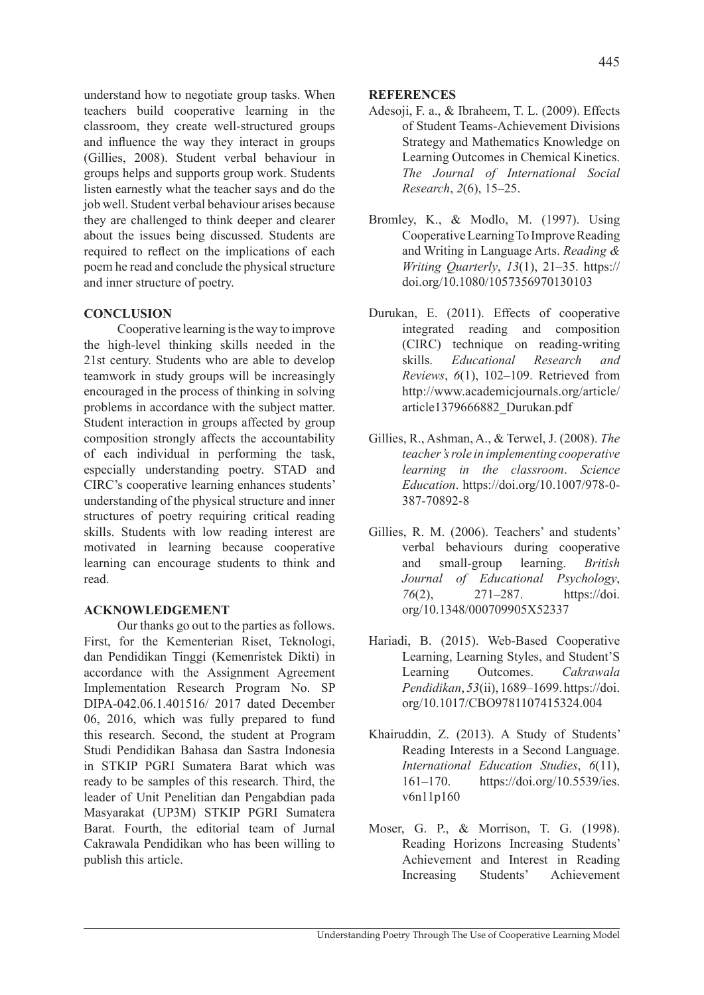understand how to negotiate group tasks. When teachers build cooperative learning in the classroom, they create well-structured groups and influence the way they interact in groups (Gillies, 2008). Student verbal behaviour in groups helps and supports group work. Students listen earnestly what the teacher says and do the job well. Student verbal behaviour arises because they are challenged to think deeper and clearer about the issues being discussed. Students are required to reflect on the implications of each poem he read and conclude the physical structure and inner structure of poetry.

# **CONCLUSION**

Cooperative learning is the way to improve the high-level thinking skills needed in the 21st century. Students who are able to develop teamwork in study groups will be increasingly encouraged in the process of thinking in solving problems in accordance with the subject matter. Student interaction in groups affected by group composition strongly affects the accountability of each individual in performing the task, especially understanding poetry. STAD and CIRC's cooperative learning enhances students' understanding of the physical structure and inner structures of poetry requiring critical reading skills. Students with low reading interest are motivated in learning because cooperative learning can encourage students to think and read.

# **ACKNOWLEDGEMENT**

Our thanks go out to the parties as follows. First, for the Kementerian Riset, Teknologi, dan Pendidikan Tinggi (Kemenristek Dikti) in accordance with the Assignment Agreement Implementation Research Program No. SP DIPA-042.06.1.401516/ 2017 dated December 06, 2016, which was fully prepared to fund this research. Second, the student at Program Studi Pendidikan Bahasa dan Sastra Indonesia in STKIP PGRI Sumatera Barat which was ready to be samples of this research. Third, the leader of Unit Penelitian dan Pengabdian pada Masyarakat (UP3M) STKIP PGRI Sumatera Barat. Fourth, the editorial team of Jurnal Cakrawala Pendidikan who has been willing to publish this article.

#### **REFERENCES**

- Adesoji, F. a., & Ibraheem, T. L. (2009). Effects of Student Teams-Achievement Divisions Strategy and Mathematics Knowledge on Learning Outcomes in Chemical Kinetics. *The Journal of International Social Research*, *2*(6), 15–25.
- Bromley, K., & Modlo, M. (1997). Using Cooperative Learning To Improve Reading and Writing in Language Arts. *Reading & Writing Quarterly*, *13*(1), 21–35. https:// doi.org/10.1080/1057356970130103
- Durukan, E. (2011). Effects of cooperative integrated reading and composition (CIRC) technique on reading-writing skills. *Educational Research and Reviews*, *6*(1), 102–109. Retrieved from http://www.academicjournals.org/article/ article1379666882\_Durukan.pdf
- Gillies, R., Ashman, A., & Terwel, J. (2008). *The teacher's role in implementing cooperative learning in the classroom*. *Science Education*. https://doi.org/10.1007/978-0- 387-70892-8
- Gillies, R. M. (2006). Teachers' and students' verbal behaviours during cooperative and small-group learning. *British Journal of Educational Psychology*, *76*(2), 271–287. https://doi. org/10.1348/000709905X52337
- Hariadi, B. (2015). Web-Based Cooperative Learning, Learning Styles, and Student'S Learning Outcomes. *Cakrawala Pendidikan*, *53*(ii), 1689–1699. https://doi. org/10.1017/CBO9781107415324.004
- Khairuddin, Z. (2013). A Study of Students' Reading Interests in a Second Language. *International Education Studies*, *6*(11), 161–170. https://doi.org/10.5539/ies. v6n11p160
- Moser, G. P., & Morrison, T. G. (1998). Reading Horizons Increasing Students' Achievement and Interest in Reading Increasing Students' Achievement